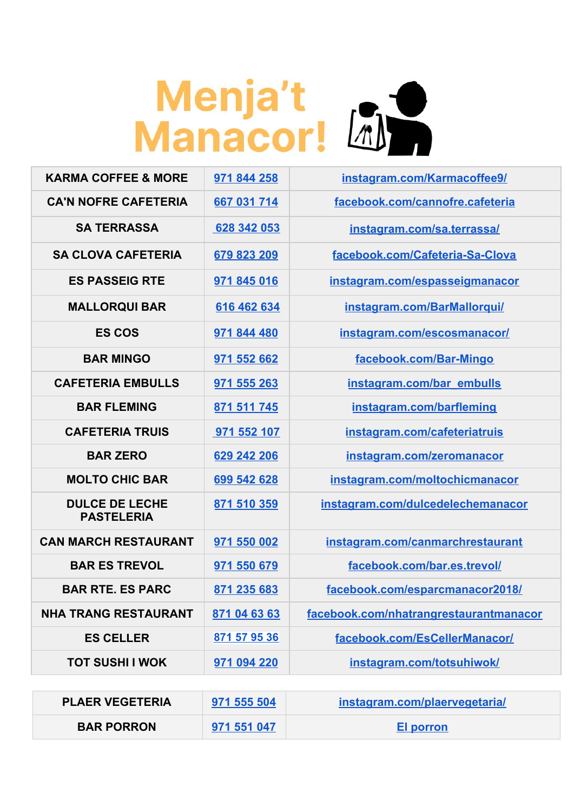## Menja't<br>Manacor! [4]

| <b>KARMA COFFEE &amp; MORE</b>             | 971 844 258  | instagram.com/Karmacoffee9/            |
|--------------------------------------------|--------------|----------------------------------------|
| <b>CA'N NOFRE CAFETERIA</b>                | 667 031 714  | facebook.com/cannofre.cafeteria        |
| <b>SA TERRASSA</b>                         | 628 342 053  | instagram.com/sa.terrassa/             |
| <b>SA CLOVA CAFETERIA</b>                  | 679 823 209  | facebook.com/Cafeteria-Sa-Clova        |
| <b>ES PASSEIG RTE</b>                      | 971 845 016  | instagram.com/espasseigmanacor         |
| <b>MALLORQUI BAR</b>                       | 616 462 634  | instagram.com/BarMallorqui/            |
| <b>ES COS</b>                              | 971 844 480  | instagram.com/escosmanacor/            |
| <b>BAR MINGO</b>                           | 971 552 662  | facebook.com/Bar-Mingo                 |
| <b>CAFETERIA EMBULLS</b>                   | 971 555 263  | instagram.com/bar_embulls              |
| <b>BAR FLEMING</b>                         | 871 511 745  | instagram.com/barfleming               |
| <b>CAFETERIA TRUIS</b>                     | 971 552 107  | instagram.com/cafeteriatruis           |
| <b>BAR ZERO</b>                            | 629 242 206  | instagram.com/zeromanacor              |
| <b>MOLTO CHIC BAR</b>                      | 699 542 628  | instagram.com/moltochicmanacor         |
| <b>DULCE DE LECHE</b><br><b>PASTELERIA</b> | 871 510 359  | instagram.com/dulcedelechemanacor      |
| <b>CAN MARCH RESTAURANT</b>                | 971 550 002  | instagram.com/canmarchrestaurant       |
| <b>BAR ES TREVOL</b>                       | 971 550 679  | facebook.com/bar.es.trevol/            |
| <b>BAR RTE. ES PARC</b>                    | 871 235 683  | facebook.com/esparcmanacor2018/        |
| <b>NHA TRANG RESTAURANT</b>                | 871 04 63 63 | facebook.com/nhatrangrestaurantmanacor |
| <b>ES CELLER</b>                           | 871 57 95 36 | facebook.com/EsCellerManacor/          |
| <b>TOT SUSHI I WOK</b>                     | 971 094 220  | instagram.com/totsuhiwok/              |

| <b>PLAER VEGETERIA</b> | 971 555 504 | instagram.com/plaervegetaria/ |
|------------------------|-------------|-------------------------------|
| <b>BAR PORRON</b>      | 971 551 047 | El porron                     |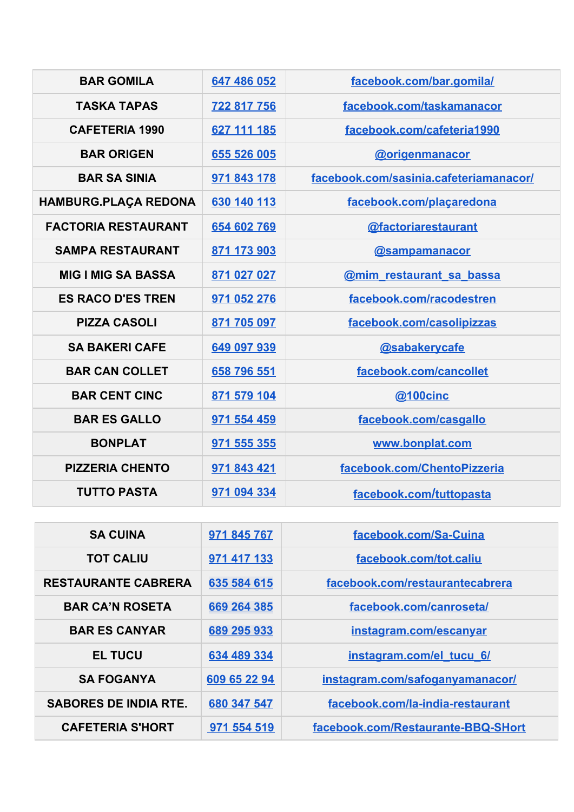| <b>BAR GOMILA</b>           | 647 486 052 | facebook.com/bar.gomila/               |
|-----------------------------|-------------|----------------------------------------|
| <b>TASKA TAPAS</b>          | 722 817 756 | facebook.com/taskamanacor              |
| <b>CAFETERIA 1990</b>       | 627 111 185 | facebook.com/cafeteria1990             |
| <b>BAR ORIGEN</b>           | 655 526 005 | <b>@origenmanacor</b>                  |
| <b>BAR SA SINIA</b>         | 971 843 178 | facebook.com/sasinia.cafeteriamanacor/ |
| <b>HAMBURG.PLAÇA REDONA</b> | 630 140 113 | facebook.com/placaredona               |
| <b>FACTORIA RESTAURANT</b>  | 654 602 769 | @factoriarestaurant                    |
| <b>SAMPA RESTAURANT</b>     | 871 173 903 | <b>@sampamanacor</b>                   |
| <b>MIG I MIG SA BASSA</b>   | 871 027 027 | @mim_restaurant_sa_bassa               |
| <b>ES RACO D'ES TREN</b>    | 971 052 276 | facebook.com/racodestren               |
| <b>PIZZA CASOLI</b>         | 871 705 097 | facebook.com/casolipizzas              |
| <b>SA BAKERI CAFE</b>       | 649 097 939 | @sabakerycafe                          |
| <b>BAR CAN COLLET</b>       | 658 796 551 | facebook.com/cancollet                 |
| <b>BAR CENT CINC</b>        | 871 579 104 | @100cinc                               |
| <b>BAR ES GALLO</b>         | 971 554 459 | facebook.com/casgallo                  |
| <b>BONPLAT</b>              | 971 555 355 | www.bonplat.com                        |
| <b>PIZZERIA CHENTO</b>      | 971 843 421 | facebook.com/ChentoPizzeria            |
| <b>TUTTO PASTA</b>          | 971 094 334 | facebook.com/tuttopasta                |

| <b>SA CUINA</b>              | 971 845 767  | facebook.com/Sa-Cuina              |
|------------------------------|--------------|------------------------------------|
| <b>TOT CALIU</b>             | 971 417 133  | facebook.com/tot.caliu             |
| <b>RESTAURANTE CABRERA</b>   | 635 584 615  | facebook.com/restaurantecabrera    |
| <b>BAR CA'N ROSETA</b>       | 669 264 385  | facebook.com/canroseta/            |
| <b>BAR ES CANYAR</b>         | 689 295 933  | instagram.com/escanyar             |
| <b>EL TUCU</b>               | 634 489 334  | instagram.com/el tucu 6/           |
| <b>SA FOGANYA</b>            | 609 65 22 94 | instagram.com/safoganyamanacor/    |
| <b>SABORES DE INDIA RTE.</b> | 680 347 547  | facebook.com/la-india-restaurant   |
| <b>CAFETERIA S'HORT</b>      | 971 554 519  | facebook.com/Restaurante-BBQ-SHort |